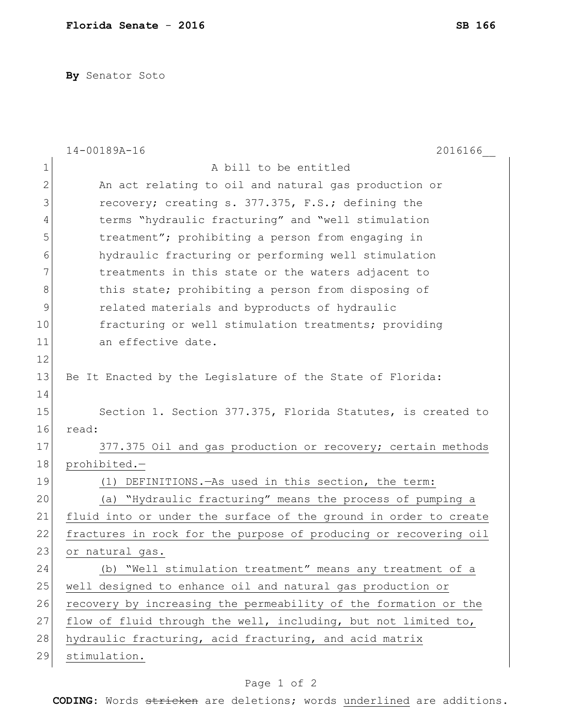**By** Senator Soto

|                | 2016166<br>$14 - 00189A - 16$                                    |
|----------------|------------------------------------------------------------------|
| $\mathbf 1$    | A bill to be entitled                                            |
| $\mathbf{2}$   | An act relating to oil and natural gas production or             |
| 3              | recovery; creating s. 377.375, F.S.; defining the                |
| $\overline{4}$ | terms "hydraulic fracturing" and "well stimulation               |
| 5              | treatment"; prohibiting a person from engaging in                |
| 6              | hydraulic fracturing or performing well stimulation              |
| 7              | treatments in this state or the waters adjacent to               |
| 8              | this state; prohibiting a person from disposing of               |
| $\mathcal{G}$  | related materials and byproducts of hydraulic                    |
| 10             | fracturing or well stimulation treatments; providing             |
| 11             | an effective date.                                               |
| 12             |                                                                  |
| 13             | Be It Enacted by the Legislature of the State of Florida:        |
| 14             |                                                                  |
| 15             | Section 1. Section 377.375, Florida Statutes, is created to      |
| 16             | read:                                                            |
| 17             | 377.375 Oil and gas production or recovery; certain methods      |
| 18             | prohibited.-                                                     |
| 19             | DEFINITIONS. - As used in this section, the term:<br>(1)         |
| 20             | (a) "Hydraulic fracturing" means the process of pumping a        |
| 21             | fluid into or under the surface of the ground in order to create |
| 22             | fractures in rock for the purpose of producing or recovering oil |
| 23             | or natural gas.                                                  |
| 24             | (b) "Well stimulation treatment" means any treatment of a        |
| 25             | well designed to enhance oil and natural gas production or       |
| 26             | recovery by increasing the permeability of the formation or the  |
| 27             | flow of fluid through the well, including, but not limited to,   |
| 28             | hydraulic fracturing, acid fracturing, and acid matrix           |
| 29             | stimulation.                                                     |

## Page 1 of 2

**CODING**: Words stricken are deletions; words underlined are additions.